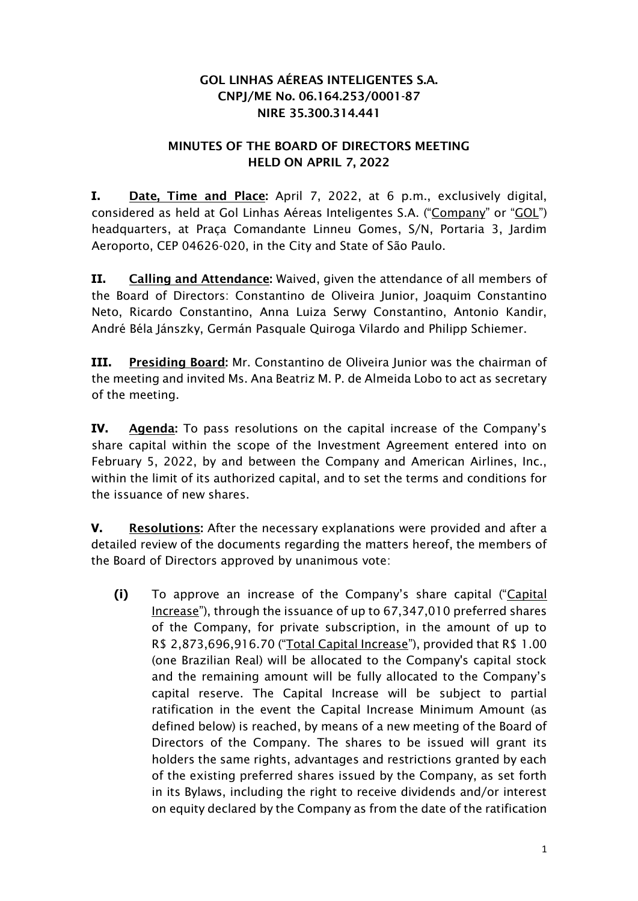## GOL LINHAS AÉREAS INTELIGENTES S.A. CNPJ/ME No. 06.164.253/0001-87 NIRE 35.300.314.441

## MINUTES OF THE BOARD OF DIRECTORS MEETING HELD ON APRIL 7, 2022

**I.** Date, Time and Place: April 7, 2022, at 6 p.m., exclusively digital, considered as held at Gol Linhas Aéreas Inteligentes S.A. ("Company" or "GOL") headquarters, at Praça Comandante Linneu Gomes, S/N, Portaria 3, Jardim Aeroporto, CEP 04626-020, in the City and State of São Paulo.

**II.** Calling and Attendance: Waived, given the attendance of all members of the Board of Directors: Constantino de Oliveira Junior, Joaquim Constantino Neto, Ricardo Constantino, Anna Luiza Serwy Constantino, Antonio Kandir, André Béla Jánszky, Germán Pasquale Quiroga Vilardo and Philipp Schiemer.

**III.** Presiding Board: Mr. Constantino de Oliveira Junior was the chairman of the meeting and invited Ms. Ana Beatriz M. P. de Almeida Lobo to act as secretary of the meeting.

**IV.** Agenda: To pass resolutions on the capital increase of the Company's share capital within the scope of the Investment Agreement entered into on February 5, 2022, by and between the Company and American Airlines, Inc., within the limit of its authorized capital, and to set the terms and conditions for the issuance of new shares.

**V.** Resolutions: After the necessary explanations were provided and after a detailed review of the documents regarding the matters hereof, the members of the Board of Directors approved by unanimous vote:

**(i)** To approve an increase of the Company's share capital ("Capital Increase"), through the issuance of up to 67,347,010 preferred shares of the Company, for private subscription, in the amount of up to R\$ 2,873,696,916.70 ("Total Capital Increase"), provided that R\$ 1.00 (one Brazilian Real) will be allocated to the Company's capital stock and the remaining amount will be fully allocated to the Company's capital reserve. The Capital Increase will be subject to partial ratification in the event the Capital Increase Minimum Amount (as defined below) is reached, by means of a new meeting of the Board of Directors of the Company. The shares to be issued will grant its holders the same rights, advantages and restrictions granted by each of the existing preferred shares issued by the Company, as set forth in its Bylaws, including the right to receive dividends and/or interest on equity declared by the Company as from the date of the ratification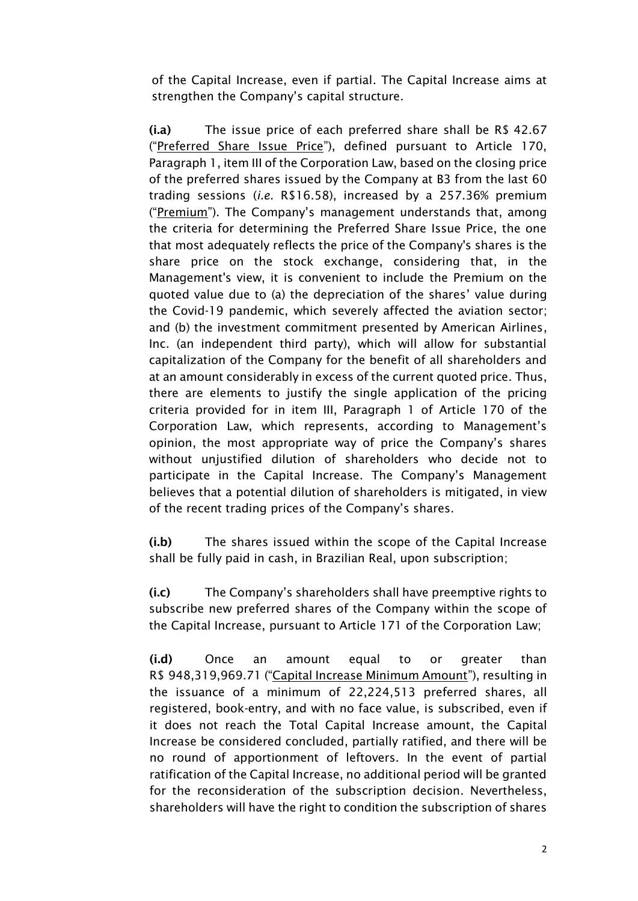of the Capital Increase, even if partial. The Capital Increase aims at strengthen the Company's capital structure.

(i.a) The issue price of each preferred share shall be R\$ 42.67 ("Preferred Share Issue Price"), defined pursuant to Article 170, Paragraph 1, item III of the Corporation Law, based on the closing price of the preferred shares issued by the Company at B3 from the last 60 trading sessions (*i.e.* R\$16.58), increased by a 257.36% premium ("Premium"). The Company's management understands that, among the criteria for determining the Preferred Share Issue Price, the one that most adequately reflects the price of the Company's shares is the share price on the stock exchange, considering that, in the Management's view, it is convenient to include the Premium on the quoted value due to (a) the depreciation of the shares' value during the Covid-19 pandemic, which severely affected the aviation sector; and (b) the investment commitment presented by American Airlines, Inc. (an independent third party), which will allow for substantial capitalization of the Company for the benefit of all shareholders and at an amount considerably in excess of the current quoted price. Thus, there are elements to justify the single application of the pricing criteria provided for in item III, Paragraph 1 of Article 170 of the Corporation Law, which represents, according to Management's opinion, the most appropriate way of price the Company's shares without unjustified dilution of shareholders who decide not to participate in the Capital Increase. The Company's Management believes that a potential dilution of shareholders is mitigated, in view of the recent trading prices of the Company's shares.

(i.b) The shares issued within the scope of the Capital Increase shall be fully paid in cash, in Brazilian Real, upon subscription;

(i.c) The Company's shareholders shall have preemptive rights to subscribe new preferred shares of the Company within the scope of the Capital Increase, pursuant to Article 171 of the Corporation Law;

(i.d) Once an amount equal to or greater than R\$ 948,319,969.71 ("Capital Increase Minimum Amount"), resulting in the issuance of a minimum of 22,224,513 preferred shares, all registered, book-entry, and with no face value, is subscribed, even if it does not reach the Total Capital Increase amount, the Capital Increase be considered concluded, partially ratified, and there will be no round of apportionment of leftovers. In the event of partial ratification of the Capital Increase, no additional period will be granted for the reconsideration of the subscription decision. Nevertheless, shareholders will have the right to condition the subscription of shares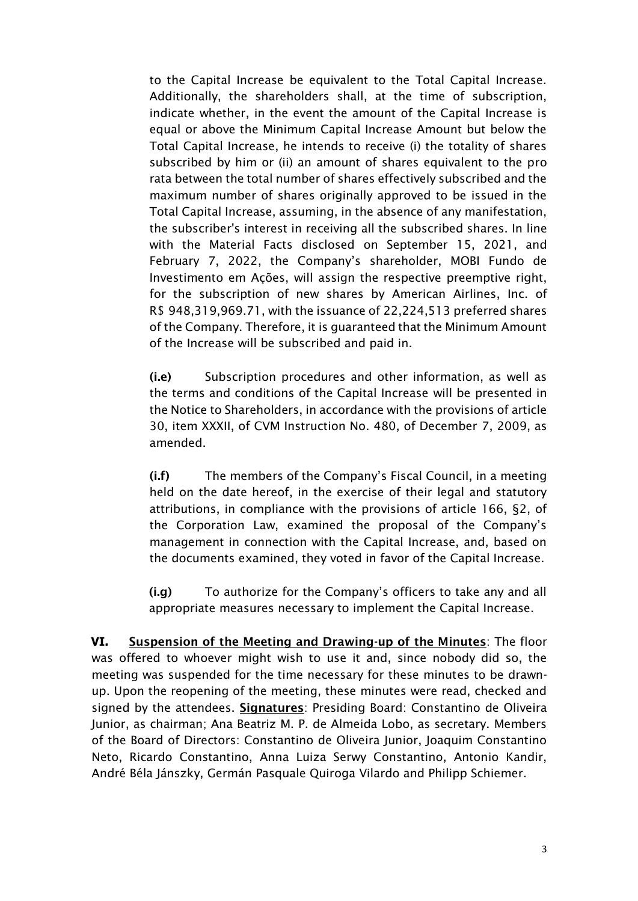to the Capital Increase be equivalent to the Total Capital Increase. Additionally, the shareholders shall, at the time of subscription, indicate whether, in the event the amount of the Capital Increase is equal or above the Minimum Capital Increase Amount but below the Total Capital Increase, he intends to receive (i) the totality of shares subscribed by him or (ii) an amount of shares equivalent to the pro rata between the total number of shares effectively subscribed and the maximum number of shares originally approved to be issued in the Total Capital Increase, assuming, in the absence of any manifestation, the subscriber's interest in receiving all the subscribed shares. In line with the Material Facts disclosed on September 15, 2021, and February 7, 2022, the Company's shareholder, MOBI Fundo de Investimento em Ações, will assign the respective preemptive right, for the subscription of new shares by American Airlines, Inc. of R\$ 948,319,969.71, with the issuance of 22,224,513 preferred shares of the Company. Therefore, it is guaranteed that the Minimum Amount of the Increase will be subscribed and paid in.

(i.e) Subscription procedures and other information, as well as the terms and conditions of the Capital Increase will be presented in the Notice to Shareholders, in accordance with the provisions of article 30, item XXXII, of CVM Instruction No. 480, of December 7, 2009, as amended.

(i.f) The members of the Company's Fiscal Council, in a meeting held on the date hereof, in the exercise of their legal and statutory attributions, in compliance with the provisions of article 166, §2, of the Corporation Law, examined the proposal of the Company's management in connection with the Capital Increase, and, based on the documents examined, they voted in favor of the Capital Increase.

(i.g) To authorize for the Company's officers to take any and all appropriate measures necessary to implement the Capital Increase.

**VI.** Suspension of the Meeting and Drawing-up of the Minutes: The floor was offered to whoever might wish to use it and, since nobody did so, the meeting was suspended for the time necessary for these minutes to be drawnup. Upon the reopening of the meeting, these minutes were read, checked and signed by the attendees. Signatures: Presiding Board: Constantino de Oliveira Junior, as chairman; Ana Beatriz M. P. de Almeida Lobo, as secretary. Members of the Board of Directors: Constantino de Oliveira Junior, Joaquim Constantino Neto, Ricardo Constantino, Anna Luiza Serwy Constantino, Antonio Kandir, André Béla Jánszky, Germán Pasquale Quiroga Vilardo and Philipp Schiemer.